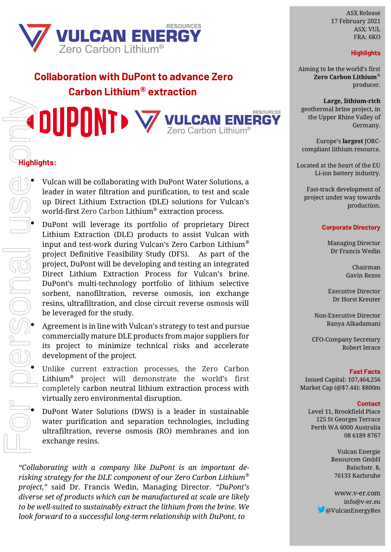

**Collaboration with DuPont to advance Zero** 

**Carbon Lithium® extraction**

## **Highlights**

Aiming to be the world's first **Zero Carbon Lithium***®* producer.

**Large, lithium-rich** geothermal brine project, in the Upper Rhine Valley of Germany.

Europe's **largest** JORCcompliant lithium resource.

Located at the heart of the EU Li-ion battery industry.

Fast-track development of project under way towards production.

#### **Corporate Directory**

Managing Director Dr Francis Wedin

> Chairman Gavin Rezos

Executive Director Dr Horst Kreuter

Non-Executive Director Ranya Alkadamani

CFO-Company Secretary Robert Ierace

#### **Fast Facts**

Issued Capital: 107,464,256 Market Cap (@\$7.44): \$800m

#### **Contact**

Level 11, Brookfield Place 125 St Georges Terrace Perth WA 6000 Australia 08 6189 8767

> Vulcan Energie Resourcen GmbH Baischstr. 8, 76133 Karlsruhe

www.v-er.com info@v-er.eu @VulcanEnergyRes

• Vulcan will be collaborating with DuPont Water Solutions, a leader in water filtration and purification, to test and scale up Direct Lithium Extraction (DLE) solutions for Vulcan's world-first Zero Carbon Lithium® extraction process.

• DuPont will leverage its portfolio of proprietary Direct Lithium Extraction (DLE) products to assist Vulcan with input and test-work during Vulcan's Zero Carbon Lithium® project Definitive Feasibility Study (DFS). As part of the project, DuPont will be developing and testing an integrated Direct Lithium Extraction Process for Vulcan's brine. DuPont's multi-technology portfolio of lithium selective sorbent, nanofiltration, reverse osmosis, ion exchange resins, ultrafiltration, and close circuit reverse osmosis will be leveraged for the study.

• Agreement is in line with Vulcan's strategy to test and pursue commercially mature DLE products from major suppliers for its project to minimize technical risks and accelerate development of the project.

Unlike current extraction processes, the Zero Carbon Lithium® project will demonstrate the world's first completely carbon neutral lithium extraction process with virtually zero environmental disruption.

• DuPont Water Solutions (DWS) is a leader in sustainable water purification and separation technologies, including ultrafiltration, reverse osmosis (RO) membranes and ion exchange resins.

*"Collaborating with a company like DuPont is an important derisking strategy for the DLE component of our Zero Carbon Lithium® project,"* said Dr. Francis Wedin, Managing Director. *"DuPont's diverse set of products which can be manufactured at scale are likely to be well-suited to sustainably extract the lithium from the brine. We look forward to a successful long-term relationship with DuPont, to* 

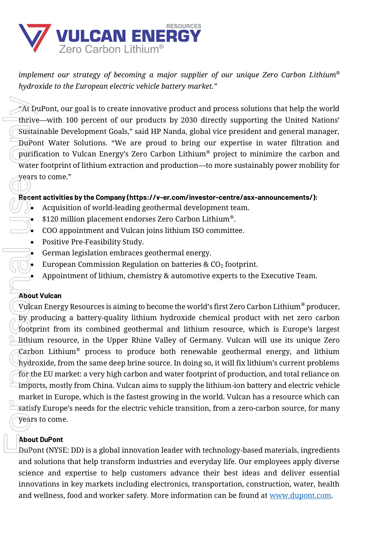

*implement our strategy of becoming a major supplier of our unique Zero Carbon Lithium® hydroxide to the European electric vehicle battery market."*

 $A$ t DuPont, our goal is to create innovative product and process solutions that help the world thrive—with 100 percent of our products by 2030 directly supporting the United Nations' Sustainable Development Goals," said HP Nanda, global vice president and general manager, DuPont Water Solutions. "We are proud to bring our expertise in water filtration and purification to Vulcan Energy's Zero Carbon Lithium® project to minimize the carbon and water footprint of lithium extraction and production—to more sustainably power mobility for years to come."

# **Recent activities by the Company (https://v-er.com/investor-centre/asx-announcements/):**

- Acquisition of world-leading geothermal development team.
- \$120 million placement endorses Zero Carbon Lithium® .
- COO appointment and Vulcan joins lithium ISO committee.
- Positive Pre-Feasibility Study.
- German legislation embraces geothermal energy.
- European Commission Regulation on batteries & CO<sub>2</sub> footprint.
- Appointment of lithium, chemistry & automotive experts to the Executive Team.

# **About Vulcan**

Vulcan Energy Resources is aiming to become the world's first Zero Carbon Lithium**®** producer, by producing a battery-quality lithium hydroxide chemical product with net zero carbon footprint from its combined geothermal and lithium resource, which is Europe's largest lithium resource, in the Upper Rhine Valley of Germany. Vulcan will use its unique Zero Carbon Lithium**®** process to produce both renewable geothermal energy, and lithium hydroxide, from the same deep brine source. In doing so, it will fix lithium's current problems for the EU market: a very high carbon and water footprint of production, and total reliance on imports, mostly from China. Vulcan aims to supply the lithium-ion battery and electric vehicle market in Europe, which is the fastest growing in the world. Vulcan has a resource which can satisfy Europe's needs for the electric vehicle transition, from a zero-carbon source, for many years to come. An DuPont, our goal is to create innovative product and process solutions that help the worker control of the product in the product of the particle safety. The comparison is very more in the found Nation can be found at

# **About DuPont**

DuPont (NYSE: DD) is a global innovation leader with technology-based materials, ingredients and solutions that help transform industries and everyday life. Our employees apply diverse science and expertise to help customers advance their best ideas and deliver essential innovations in key markets including electronics, transportation, construction, water, health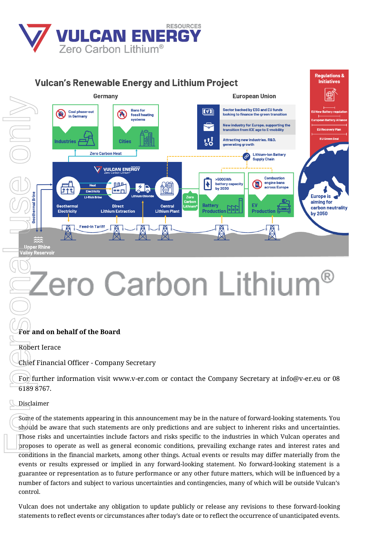



# **For and on behalf of the Board**

Robert Ierace

Chief Financial Officer - Company Secretary

For further information visit www.v-er.com or contact the Company Secretary at info@v-er.eu or 08 6189 8767.

### Disclaimer

Some of the statements appearing in this announcement may be in the nature of forward-looking statements. You should be aware that such statements are only predictions and are subject to inherent risks and uncertainties. Those risks and uncertainties include factors and risks specific to the industries in which Vulcan operates and proposes to operate as well as general economic conditions, prevailing exchange rates and interest rates and conditions in the financial markets, among other things. Actual events or results may differ materially from the events or results expressed or implied in any forward-looking statement. No forward-looking statement is a guarantee or representation as to future performance or any other future matters, which will be influenced by a number of factors and subject to various uncertainties and contingencies, many of which will be outside Vulcan's control.

Vulcan does not undertake any obligation to update publicly or release any revisions to these forward-looking